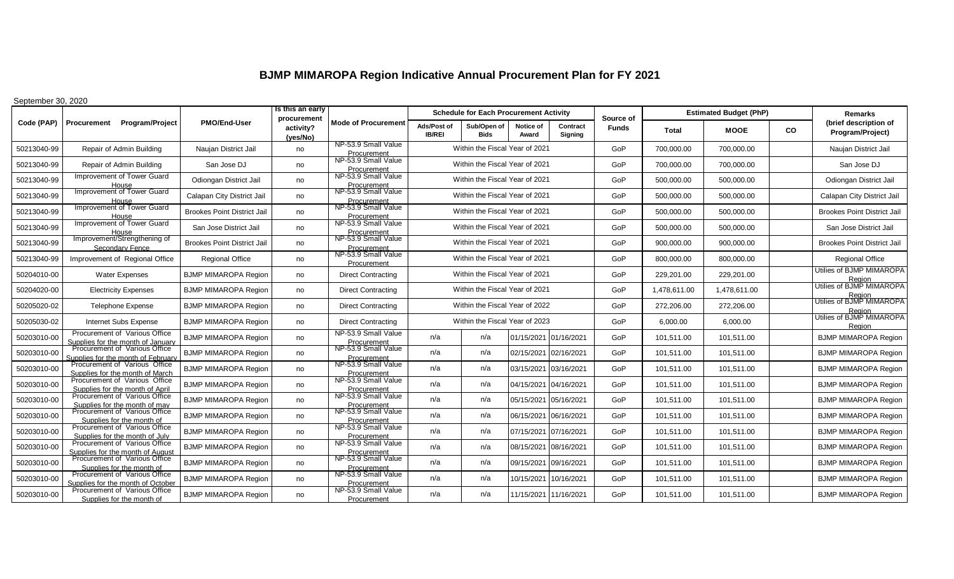## **BJMP MIMAROPA Region Indicative Annual Procurement Plan for FY 2021**

September 30, 2020

|             | Procurement Program/Project                                         | <b>PMO/End-User</b>                | Is this an early<br>procurement | <b>Mode of Procurement</b>                        |                                | <b>Schedule for Each Procurement Activity</b> |                       |                       | Source of    | <b>Estimated Budget (PhP)</b> |              |           | <b>Remarks</b>                               |
|-------------|---------------------------------------------------------------------|------------------------------------|---------------------------------|---------------------------------------------------|--------------------------------|-----------------------------------------------|-----------------------|-----------------------|--------------|-------------------------------|--------------|-----------|----------------------------------------------|
| Code (PAP)  |                                                                     |                                    | activity?<br>(yes/No)           |                                                   | Ads/Post of<br><b>IB/REI</b>   | Sub/Open of<br><b>Bids</b>                    | Notice of<br>Award    | Contract<br>Signing   | <b>Funds</b> | <b>Total</b>                  | <b>MOOE</b>  | <b>CO</b> | (brief description of<br>Program/Project)    |
| 50213040-99 | Repair of Admin Building                                            | Naujan District Jail               | no                              | NP-53.9 Small Value<br>Procurement                |                                | Within the Fiscal Year of 2021                |                       |                       | GoP          | 700,000.00                    | 700,000.00   |           | Naujan District Jail                         |
| 50213040-99 | Repair of Admin Building                                            | San Jose DJ                        | no                              | NP-53.9 Small Value<br>Procurement                |                                | Within the Fiscal Year of 2021                |                       |                       | GoP          | 700,000.00                    | 700,000.00   |           | San Jose DJ                                  |
| 50213040-99 | <b>Improvement of Tower Guard</b><br>House                          | Odiongan District Jail             | no                              | NP-53.9 Small Value<br>Procurement                |                                | Within the Fiscal Year of 2021                |                       |                       | GoP          | 500,000.00                    | 500,000.00   |           | Odiongan District Jail                       |
| 50213040-99 | Improvement of Tower Guard                                          | Calapan City District Jail         | no                              | NP-53.9 Small Value<br>Procurement                |                                | Within the Fiscal Year of 2021                |                       |                       | GoP          | 500,000.00                    | 500,000.00   |           | Calapan City District Jail                   |
| 50213040-99 | Improvement of Tower Guard                                          | <b>Brookes Point District Jail</b> | no                              | NP-53.9 Small Value<br>Procurement                |                                | Within the Fiscal Year of 2021                |                       |                       | GoP          | 500,000.00                    | 500,000.00   |           | <b>Brookes Point District Jail</b>           |
| 50213040-99 | Improvement of Tower Guard                                          | San Jose District Jail             | no                              | NP-53.9 Small Value<br>Procurement                |                                | Within the Fiscal Year of 2021                |                       |                       | GoP          | 500,000.00                    | 500,000.00   |           | San Jose District Jail                       |
| 50213040-99 | Improvement/Strengthening of<br>Secondary Fence                     | <b>Brookes Point District Jail</b> | no                              | NP-53.9 Small Value<br>Procurement                |                                | Within the Fiscal Year of 2021                |                       |                       | <b>GoP</b>   | 900,000.00                    | 900,000.00   |           | <b>Brookes Point District Jail</b>           |
| 50213040-99 | Improvement of Regional Office                                      | <b>Regional Office</b>             | no                              | NP-53.9 Small Value<br>Procurement                |                                | Within the Fiscal Year of 2021                |                       |                       | GoP          | 800,000.00                    | 800,000.00   |           | <b>Regional Office</b>                       |
| 50204010-00 | <b>Water Expenses</b>                                               | <b>BJMP MIMAROPA Region</b>        | no                              | Direct Contracting                                |                                | Within the Fiscal Year of 2021                |                       |                       | GoP          | 229,201.00                    | 229,201.00   |           | Utilies of BJMP MIMAROPA<br>Region           |
| 50204020-00 | <b>Electricity Expenses</b>                                         | <b>BJMP MIMAROPA Region</b>        | no                              | <b>Direct Contracting</b>                         | Within the Fiscal Year of 2021 |                                               |                       |                       | GoP          | 1,478,611.00                  | 1,478,611.00 |           | Utilies of BJMP MIMAROPA<br>Region           |
| 50205020-02 | <b>Telephone Expense</b>                                            | <b>BJMP MIMAROPA Region</b>        | no                              | <b>Direct Contracting</b>                         | Within the Fiscal Year of 2022 |                                               |                       |                       | GoP          | 272,206.00                    | 272,206.00   |           | Utilies of BJMP MIMAROPA                     |
| 50205030-02 | Internet Subs Expense                                               | <b>BJMP MIMAROPA Region</b>        | no                              | <b>Direct Contracting</b>                         | Within the Fiscal Year of 2023 |                                               |                       |                       | GoP          | 6,000.00                      | 6,000.00     |           | Region<br>Utilies of BJMP MIMAROPA<br>Region |
| 50203010-00 | Procurement of Various Office<br>Supplies for the month of January  | <b>BJMP MIMAROPA Region</b>        | no                              | NP-53.9 Small Value<br>Procurement                | n/a                            | n/a                                           | 01/15/2021            | 01/16/2021            | GoP          | 101,511.00                    | 101,511.00   |           | <b>BJMP MIMAROPA Region</b>                  |
| 50203010-00 | Procurement of Various Office<br>Supplies for the month of February | <b>BJMP MIMAROPA Region</b>        | no                              | NP-53.9 Small Value<br>Procurement                | n/a                            | n/a                                           | 02/15/2021            | 02/16/2021            | GoP          | 101,511.00                    | 101,511.00   |           | <b>BJMP MIMAROPA Region</b>                  |
| 50203010-00 | Procurement of Various Office<br>Supplies for the month of March    | <b>BJMP MIMAROPA Region</b>        | no                              | NP-53.9 Small Value<br>Procurement                | n/a                            | n/a                                           | 03/15/2021            | 03/16/2021            | GoP          | 101,511.00                    | 101,511.00   |           | <b>BJMP MIMAROPA Region</b>                  |
| 50203010-00 | Procurement of Various Office<br>Supplies for the month of April    | <b>BJMP MIMAROPA Region</b>        | no                              | NP-53.9 Small Value<br>Procurement                | n/a                            | n/a                                           | 04/15/2021            | 04/16/2021            | GoP          | 101,511.00                    | 101,511.00   |           | <b>BJMP MIMAROPA Region</b>                  |
| 50203010-00 | Procurement of Various Office<br>Supplies for the month of may      | <b>BJMP MIMAROPA Region</b>        | no                              | NP-53.9 Small Value<br>Procurement                | n/a                            | n/a                                           | 05/15/2021 05/16/2021 |                       | GoP          | 101,511.00                    | 101,511.00   |           | BJMP MIMAROPA Region                         |
| 50203010-00 | Procurement of Various Office<br>Supplies for the month of          | <b>BJMP MIMAROPA Region</b>        | no                              | NP-53.9 Small Value<br>Procurement                | n/a                            | n/a                                           | 06/15/2021            | 06/16/2021            | <b>GoP</b>   | 101,511.00                    | 101,511.00   |           | <b>BJMP MIMAROPA Region</b>                  |
| 50203010-00 | Procurement of Various Office<br>Supplies for the month of July     | <b>BJMP MIMAROPA Region</b>        | no                              | NP-53.9 Small Value                               | n/a                            | n/a                                           | 07/15/2021 07/16/2021 |                       | <b>GoP</b>   | 101,511.00                    | 101,511.00   |           | BJMP MIMAROPA Region                         |
| 50203010-00 | Procurement of Various Office<br>Supplies for the month of August   | <b>BJMP MIMAROPA Region</b>        | no                              | Procurement<br>NP-53.9 Small Value<br>Procurement | n/a                            | n/a                                           | 08/15/2021 08/16/2021 |                       | GoP          | 101,511.00                    | 101,511.00   |           | <b>BJMP MIMAROPA Region</b>                  |
| 50203010-00 | Procurement of Various Office<br>Supplies for the month of          | <b>BJMP MIMAROPA Region</b>        | no                              | NP-53.9 Small Value<br>Procurement                | n/a                            | n/a                                           | 09/15/2021 09/16/2021 |                       | GoP          | 101,511.00                    | 101,511.00   |           | <b>BJMP MIMAROPA Region</b>                  |
| 50203010-00 | Procurement of Various Office<br>Supplies for the month of October  | <b>BJMP MIMAROPA Region</b>        | no                              | NP-53.9 Small Value<br>Procurement                | n/a                            | n/a                                           |                       | 10/15/2021 10/16/2021 | GoP          | 101,511.00                    | 101,511.00   |           | <b>BJMP MIMAROPA Region</b>                  |
| 50203010-00 | Procurement of Various Office<br>Supplies for the month of          | <b>BJMP MIMAROPA Region</b>        | no                              | NP-53.9 Small Value<br>Procurement                | n/a                            | n/a                                           |                       | 11/15/2021 11/16/2021 | GoP          | 101,511.00                    | 101,511.00   |           | BJMP MIMAROPA Region                         |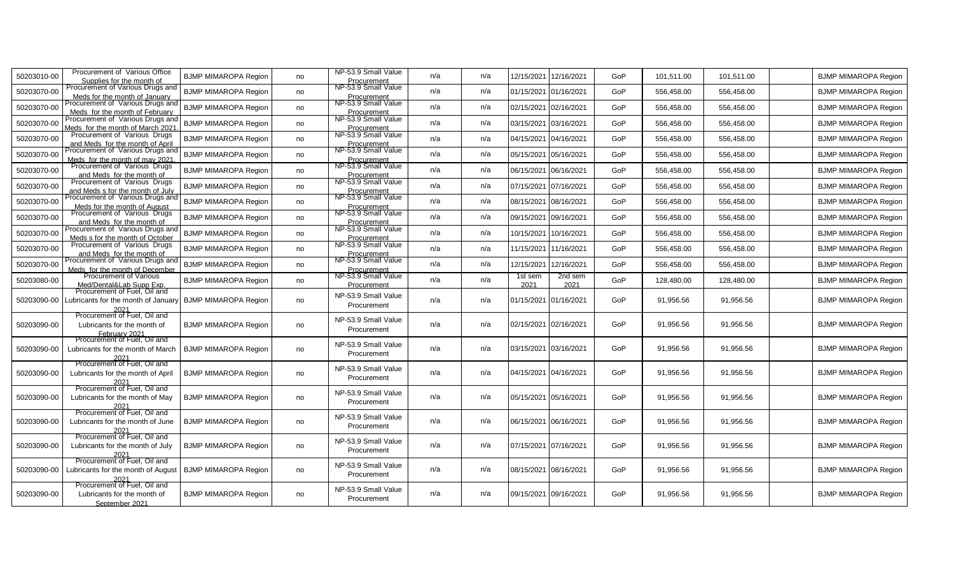| 50203010-00 | Procurement of Various Office<br>Supplies for the month of                                         | <b>BJMP MIMAROPA Region</b> | no | NP-53.9 Small Value<br>Procurement | n/a | n/a | 12/15/2021            | 12/16/2021 | GoP        | 101,511.00 | 101,511.00 | <b>BJMP MIMAROPA Region</b> |
|-------------|----------------------------------------------------------------------------------------------------|-----------------------------|----|------------------------------------|-----|-----|-----------------------|------------|------------|------------|------------|-----------------------------|
| 50203070-00 | Procurement of Various Drugs an<br>Meds for the month of January                                   | <b>BJMP MIMAROPA Region</b> | no | NP-53.9 Small Value<br>Procurement | n/a | n/a | 01/15/2021            | 01/16/2021 | GoP        | 556,458.00 | 556,458.00 | <b>BJMP MIMAROPA Region</b> |
| 50203070-00 | Procurement of Various Drugs and<br>Meds for the month of February                                 | <b>BJMP MIMAROPA Region</b> | no | NP-53.9 Small Value<br>Procurement | n/a | n/a | 02/15/2021            | 02/16/2021 | GoP        | 556,458.00 | 556,458.00 | <b>BJMP MIMAROPA Region</b> |
| 50203070-00 | Procurement of Various Drugs and                                                                   | <b>BJMP MIMAROPA Region</b> | no | NP-53.9 Small Value                | n/a | n/a | 03/15/2021            | 03/16/2021 | GoP        | 556,458.00 | 556,458.00 | <b>BJMP MIMAROPA Region</b> |
| 50203070-00 | Meds for the month of March 202<br>Procurement of Various Drugs<br>and Meds for the month of April | <b>BJMP MIMAROPA Region</b> | no | Procurement<br>NP-53.9 Small Value | n/a | n/a | 04/15/2021            | 04/16/2021 | GoP        | 556,458.00 | 556,458.00 | <b>BJMP MIMAROPA Region</b> |
| 50203070-00 | Procurement of Various Drugs and                                                                   | <b>BJMP MIMAROPA Region</b> | no | Procurement<br>NP-53.9 Small Value | n/a | n/a | 05/15/2021            | 05/16/2021 | GoP        | 556,458.00 | 556,458.00 | <b>BJMP MIMAROPA Region</b> |
| 50203070-00 | Meds for the month of may 202<br>Procurement of Various Drugs                                      | <b>BJMP MIMAROPA Region</b> | no | Procurement<br>NP-53.9 Small Value | n/a | n/a | 06/15/2021            | 06/16/2021 | GoP        | 556,458.00 | 556,458.00 | <b>BJMP MIMAROPA Region</b> |
| 50203070-00 | and Meds for the month of<br>Procurement of Various Drugs                                          | <b>BJMP MIMAROPA Region</b> | no | Procurement<br>NP-53.9 Small Value | n/a | n/a | 07/15/2021            | 07/16/2021 | GoP        | 556,458.00 | 556,458.00 | <b>BJMP MIMAROPA Region</b> |
| 50203070-00 | and Meds s for the month of July<br>Procurement of Various Drugs and                               | <b>BJMP MIMAROPA Region</b> | no | Procurement<br>NP-53.9 Small Value | n/a | n/a | 08/15/2021            | 08/16/2021 | <b>GoP</b> | 556,458.00 | 556,458.00 | <b>BJMP MIMAROPA Region</b> |
| 50203070-00 | Meds for the month of August<br>Procurement of Various Drugs                                       | <b>BJMP MIMAROPA Region</b> | no | Procurement<br>NP-53.9 Small Value | n/a | n/a | 09/15/202             | 09/16/2021 | GoP        | 556,458.00 | 556,458.00 | <b>BJMP MIMAROPA Region</b> |
| 50203070-00 | and Meds for the month of<br>rocurement of Various Drugs ar                                        | <b>BJMP MIMAROPA Region</b> | no | Procurement<br>NP-53.9 Small Value | n/a | n/a | 10/15/2021            | 10/16/2021 | GoP        | 556,458.00 | 556,458.00 | <b>BJMP MIMAROPA Region</b> |
| 50203070-00 | Meds s for the month of Octobe<br>Procurement of Various Drugs                                     | <b>BJMP MIMAROPA Region</b> | no | Procurement<br>NP-53.9 Small Value | n/a | n/a | 11/15/2021            | 11/16/2021 | GoP        | 556,458.00 | 556,458.00 | <b>BJMP MIMAROPA Region</b> |
| 50203070-00 | and Meds for the month of<br>Procurement of Various Drugs an                                       | <b>BJMP MIMAROPA Region</b> | no | Procurement<br>NP-53.9 Small Value | n/a | n/a | 12/15/202             | 12/16/2021 | GoP        | 556,458.00 | 556,458.00 | <b>BJMP MIMAROPA Region</b> |
| 50203080-00 | Meds for the month of December<br>Procurement of Various                                           | <b>BJMP MIMAROPA Region</b> | no | Procurement<br>NP-53.9 Small Value | n/a | n/a | 1st sem               | 2nd sem    | GoP        | 128,480.00 | 128,480.00 | <b>BJMP MIMAROPA Region</b> |
|             | Med/Dental&Lab Supp Exp.<br>Procurement of Fuel, Oil and                                           |                             |    | Procurement<br>NP-53.9 Small Value |     |     | 2021                  | 2021       |            |            |            |                             |
| 50203090-00 | ubricants for the month of January                                                                 | <b>BJMP MIMAROPA Region</b> | no | Procurement                        | n/a | n/a | 01/15/2021            | 01/16/2021 | GoP        | 91,956.56  | 91,956.56  | BJMP MIMAROPA Region        |
| 50203090-00 | 2021<br>Procurement of Fuel, Oil and<br>Lubricants for the month of<br>February 2021               | <b>BJMP MIMAROPA Region</b> | no | NP-53.9 Small Value<br>Procurement | n/a | n/a | 02/15/2021 02/16/2021 |            | GoP        | 91,956.56  | 91,956.56  | <b>BJMP MIMAROPA Region</b> |
| 50203090-00 | Procurement of Fuel, Oil and<br>Lubricants for the month of March                                  | <b>BJMP MIMAROPA Region</b> | no | NP-53.9 Small Value<br>Procurement | n/a | n/a | 03/15/2021 03/16/2021 |            | GoP        | 91,956.56  | 91,956.56  | <b>BJMP MIMAROPA Region</b> |
| 50203090-00 | Procurement of Fuel, Oil and<br>Lubricants for the month of April                                  | <b>BJMP MIMAROPA Region</b> | no | NP-53.9 Small Value<br>Procurement | n/a | n/a | 04/15/2021 04/16/2021 |            | GoP        | 91,956.56  | 91,956.56  | <b>BJMP MIMAROPA Region</b> |
|             | Procurement of Fuel, Oil and                                                                       |                             |    | NP-53.9 Small Value                |     |     |                       |            |            |            |            |                             |
| 50203090-00 | Lubricants for the month of May                                                                    | <b>BJMP MIMAROPA Region</b> | no | Procurement                        | n/a | n/a | 05/15/2021 05/16/2021 |            | <b>GoP</b> | 91,956.56  | 91,956.56  | <b>BJMP MIMAROPA Region</b> |
| 50203090-00 | Procurement of Fuel, Oil and<br>Lubricants for the month of June                                   | <b>BJMP MIMAROPA Region</b> | no | NP-53.9 Small Value<br>Procurement | n/a | n/a | 06/15/2021            | 06/16/2021 | GoP        | 91,956.56  | 91,956.56  | <b>BJMP MIMAROPA Region</b> |
| 50203090-00 | Procurement of Fuel, Oil and<br>Lubricants for the month of July                                   | BJMP MIMAROPA Region        | no | NP-53.9 Small Value<br>Procurement | n/a | n/a | 07/15/2021 07/16/2021 |            | GoP        | 91,956.56  | 91,956.56  | <b>BJMP MIMAROPA Region</b> |
| 50203090-00 | Procurement of Fuel. Oil and<br>Lubricants for the month of August<br>2021                         | <b>BJMP MIMAROPA Region</b> | no | NP-53.9 Small Value<br>Procurement | n/a | n/a | 08/15/2021            | 08/16/2021 | GoP        | 91,956.56  | 91,956.56  | BJMP MIMAROPA Region        |
| 50203090-00 | Procurement of Fuel, Oil and<br>Lubricants for the month of<br>September 2021                      | <b>BJMP MIMAROPA Region</b> | no | NP-53.9 Small Value<br>Procurement | n/a | n/a | 09/15/2021 09/16/2021 |            | <b>GoP</b> | 91,956.56  | 91,956.56  | BJMP MIMAROPA Region        |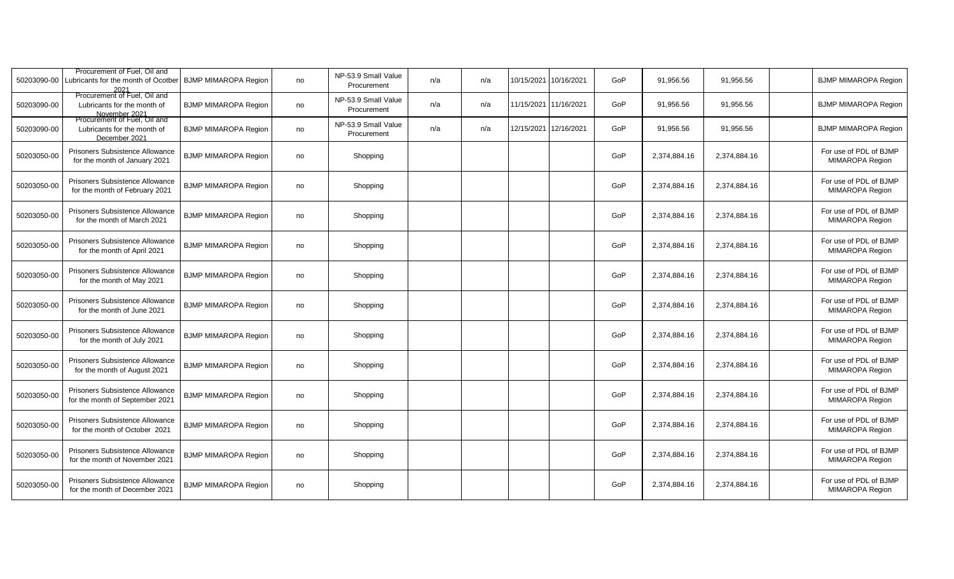| 50203090-00 | Procurement of Fuel, Oil and<br>ubricants for the month of Ocotber           | <b>BJMP MIMAROPA Region</b> | no | NP-53.9 Small Value<br>Procurement | n/a | n/a | 10/15/2021 | 10/16/2021 | GoP | 91,956.56    | 91,956.56    | <b>BJMP MIMAROPA Region</b>               |
|-------------|------------------------------------------------------------------------------|-----------------------------|----|------------------------------------|-----|-----|------------|------------|-----|--------------|--------------|-------------------------------------------|
| 50203090-00 | Procurement of Fuel, Oil and<br>Lubricants for the month of<br>November 2021 | <b>BJMP MIMAROPA Region</b> | no | NP-53.9 Small Value<br>Procurement | n/a | n/a | 11/15/2021 | 11/16/2021 | GoP | 91,956.56    | 91,956.56    | <b>BJMP MIMAROPA Region</b>               |
| 50203090-00 | Procurement of Fuel, Oil and<br>Lubricants for the month of<br>December 2021 | <b>BJMP MIMAROPA Region</b> | no | NP-53.9 Small Value<br>Procurement | n/a | n/a | 12/15/2021 | 12/16/2021 | GoP | 91,956.56    | 91,956.56    | <b>BJMP MIMAROPA Region</b>               |
| 50203050-00 | <b>Prisoners Subsistence Allowance</b><br>for the month of January 2021      | <b>BJMP MIMAROPA Region</b> | no | Shopping                           |     |     |            |            | GoP | 2,374,884.16 | 2,374,884.16 | For use of PDL of BJMP<br>MIMAROPA Region |
| 50203050-00 | Prisoners Subsistence Allowance<br>for the month of February 2021            | <b>BJMP MIMAROPA Region</b> | no | Shopping                           |     |     |            |            | GoP | 2,374,884.16 | 2,374,884.16 | For use of PDL of BJMP<br>MIMAROPA Region |
| 50203050-00 | Prisoners Subsistence Allowance<br>for the month of March 2021               | <b>BJMP MIMAROPA Region</b> | no | Shopping                           |     |     |            |            | GoP | 2,374,884.16 | 2,374,884.16 | For use of PDL of BJMP<br>MIMAROPA Region |
| 50203050-00 | <b>Prisoners Subsistence Allowance</b><br>for the month of April 2021        | <b>BJMP MIMAROPA Region</b> | no | Shopping                           |     |     |            |            | GoP | 2,374,884.16 | 2,374,884.16 | For use of PDL of BJMP<br>MIMAROPA Region |
| 50203050-00 | Prisoners Subsistence Allowance<br>for the month of May 2021                 | <b>BJMP MIMAROPA Region</b> | no | Shopping                           |     |     |            |            | GoP | 2,374,884.16 | 2,374,884.16 | For use of PDL of BJMP<br>MIMAROPA Region |
| 50203050-00 | Prisoners Subsistence Allowance<br>for the month of June 2021                | <b>BJMP MIMAROPA Region</b> | no | Shopping                           |     |     |            |            | GoP | 2,374,884.16 | 2,374,884.16 | For use of PDL of BJMP<br>MIMAROPA Region |
| 50203050-00 | Prisoners Subsistence Allowance<br>for the month of July 2021                | <b>BJMP MIMAROPA Region</b> | no | Shopping                           |     |     |            |            | GoP | 2,374,884.16 | 2,374,884.16 | For use of PDL of BJMP<br>MIMAROPA Region |
| 50203050-00 | Prisoners Subsistence Allowance<br>for the month of August 2021              | <b>BJMP MIMAROPA Region</b> | no | Shopping                           |     |     |            |            | GoP | 2,374,884.16 | 2,374,884.16 | For use of PDL of BJMP<br>MIMAROPA Region |
| 50203050-00 | Prisoners Subsistence Allowance<br>for the month of September 2021           | <b>BJMP MIMAROPA Region</b> | no | Shopping                           |     |     |            |            | GoP | 2,374,884.16 | 2,374,884.16 | For use of PDL of BJMP<br>MIMAROPA Region |
| 50203050-00 | Prisoners Subsistence Allowance<br>for the month of October 2021             | <b>BJMP MIMAROPA Region</b> | no | Shopping                           |     |     |            |            | GoP | 2,374,884.16 | 2.374.884.16 | For use of PDL of BJMP<br>MIMAROPA Region |
| 50203050-00 | Prisoners Subsistence Allowance<br>for the month of November 2021            | <b>BJMP MIMAROPA Region</b> | no | Shopping                           |     |     |            |            | GoP | 2,374,884.16 | 2,374,884.16 | For use of PDL of BJMP<br>MIMAROPA Region |
| 50203050-00 | Prisoners Subsistence Allowance<br>for the month of December 2021            | <b>BJMP MIMAROPA Region</b> | no | Shopping                           |     |     |            |            | GoP | 2,374,884.16 | 2,374,884.16 | For use of PDL of BJMP<br>MIMAROPA Region |